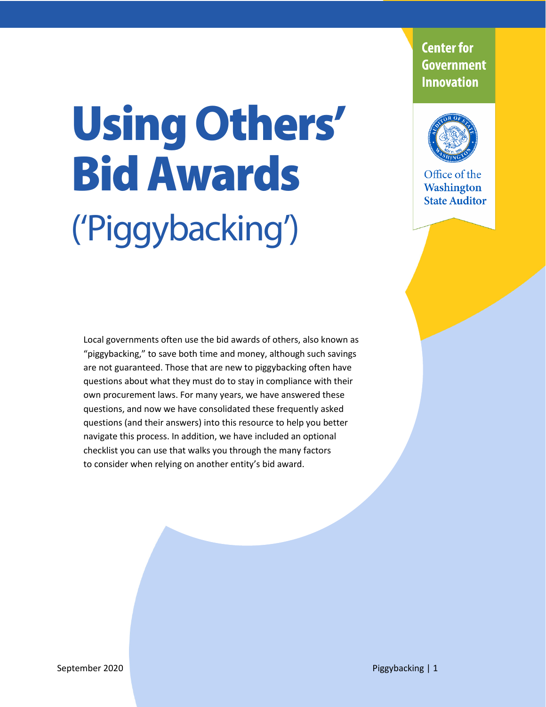# Using **O**thers' Bid Awards ('Piggybacking')

**Center for Government Innovation** 



Office of the Washington **State Auditor** 

Local governments often use the bid awards of others, also known as "piggybacking," to save both time and money, although such savings are not guaranteed. Those that are new to piggybacking often have questions about what they must do to stay in compliance with their own procurement laws. For many years, we have answered these questions, and now we have consolidated these frequently asked questions (and their answers) into this resource to help you better navigate this process. In addition, we have included an optional checklist you can use that walks you through the many factors to consider when relying on another entity's bid award.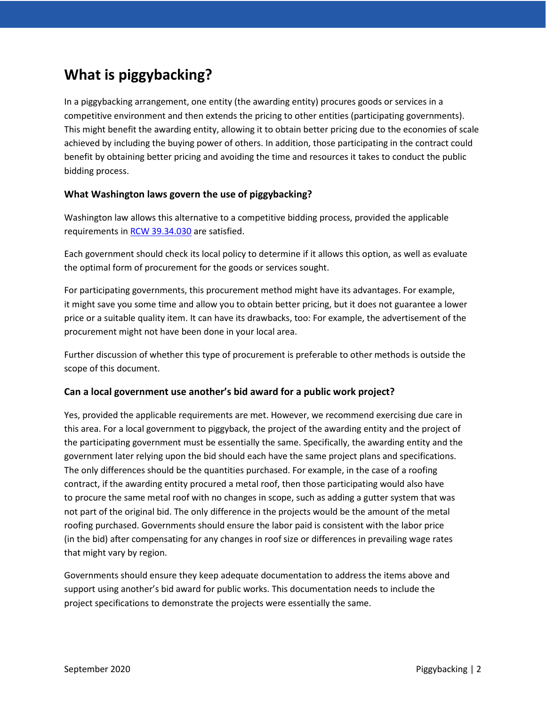# **What is piggybacking?**

In a piggybacking arrangement, one entity (the awarding entity) procures goods or services in a competitive environment and then extends the pricing to other entities (participating governments). This might benefit the awarding entity, allowing it to obtain better pricing due to the economies of scale achieved by including the buying power of others. In addition, those participating in the contract could benefit by obtaining better pricing and avoiding the time and resources it takes to conduct the public bidding process.

# **What Washington laws govern the use of piggybacking?**

Washington law allows this alternative to a competitive bidding process, provided the applicable requirements in [RCW 39.34.030](https://apps.leg.wa.gov/rcw/default.aspx?cite=39.34.030) are satisfied.

Each government should check its local policy to determine if it allows this option, as well as evaluate the optimal form of procurement for the goods or services sought.

For participating governments, this procurement method might have its advantages. For example, it might save you some time and allow you to obtain better pricing, but it does not guarantee a lower price or a suitable quality item. It can have its drawbacks, too: For example, the advertisement of the procurement might not have been done in your local area.

Further discussion of whether this type of procurement is preferable to other methods is outside the scope of this document.

# **Can a local government use another's bid award for a public work project?**

Yes, provided the applicable requirements are met. However, we recommend exercising due care in this area. For a local government to piggyback, the project of the awarding entity and the project of the participating government must be essentially the same. Specifically, the awarding entity and the government later relying upon the bid should each have the same project plans and specifications. The only differences should be the quantities purchased. For example, in the case of a roofing contract, if the awarding entity procured a metal roof, then those participating would also have to procure the same metal roof with no changes in scope, such as adding a gutter system that was not part of the original bid. The only difference in the projects would be the amount of the metal roofing purchased. Governments should ensure the labor paid is consistent with the labor price (in the bid) after compensating for any changes in roof size or differences in prevailing wage rates that might vary by region.

Governments should ensure they keep adequate documentation to address the items above and support using another's bid award for public works. This documentation needs to include the project specifications to demonstrate the projects were essentially the same.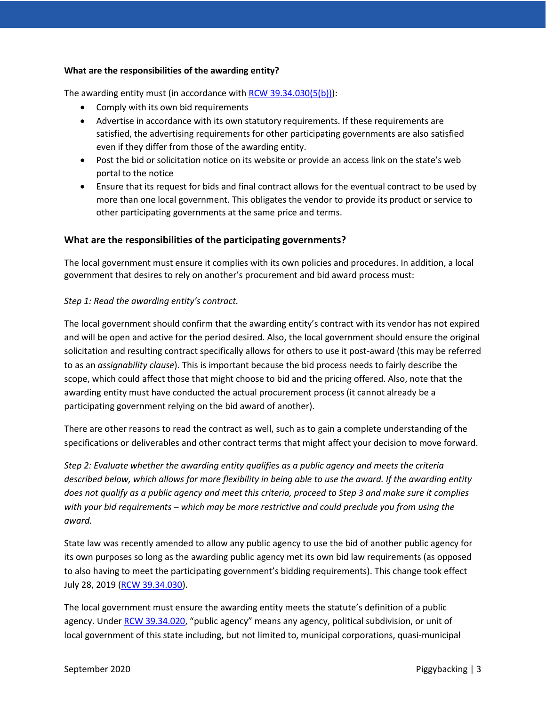## **What are the responsibilities of the awarding entity?**

The awarding entity must (in accordance with [RCW 39.34.030\(5\(b\)\)\)](https://apps.leg.wa.gov/rcw/default.aspx?cite=39.34.030):

- Comply with its own bid requirements
- Advertise in accordance with its own statutory requirements. If these requirements are satisfied, the advertising requirements for other participating governments are also satisfied even if they differ from those of the awarding entity.
- Post the bid or solicitation notice on its website or provide an access link on the state's web portal to the notice
- Ensure that its request for bids and final contract allows for the eventual contract to be used by more than one local government. This obligates the vendor to provide its product or service to other participating governments at the same price and terms.

# **What are the responsibilities of the participating governments?**

The local government must ensure it complies with its own policies and procedures. In addition, a local government that desires to rely on another's procurement and bid award process must:

## *Step 1: Read the awarding entity's contract.*

The local government should confirm that the awarding entity's contract with its vendor has not expired and will be open and active for the period desired. Also, the local government should ensure the original solicitation and resulting contract specifically allows for others to use it post-award (this may be referred to as an *assignability clause*). This is important because the bid process needs to fairly describe the scope, which could affect those that might choose to bid and the pricing offered. Also, note that the awarding entity must have conducted the actual procurement process (it cannot already be a participating government relying on the bid award of another).

There are other reasons to read the contract as well, such as to gain a complete understanding of the specifications or deliverables and other contract terms that might affect your decision to move forward.

*Step 2: Evaluate whether the awarding entity qualifies as a public agency and meets the criteria described below, which allows for more flexibility in being able to use the award. If the awarding entity does not qualify as a public agency and meet this criteria, proceed to Step 3 and make sure it complies with your bid requirements – which may be more restrictive and could preclude you from using the award.*

State law was recently amended to allow any public agency to use the bid of another public agency for its own purposes so long as the awarding public agency met its own bid law requirements (as opposed to also having to meet the participating government's bidding requirements). This change took effect July 28, 2019 [\(RCW 39.34.030\)](https://apps.leg.wa.gov/rcw/default.aspx?cite=39.34.030).

The local government must ensure the awarding entity meets the statute's definition of a public agency. Under [RCW 39.34.020,](https://app.leg.wa.gov/RCW/default.aspx?cite=39.34.020) "public agency" means any agency, political subdivision, or unit of local government of this state including, but not limited to, municipal corporations, quasi-municipal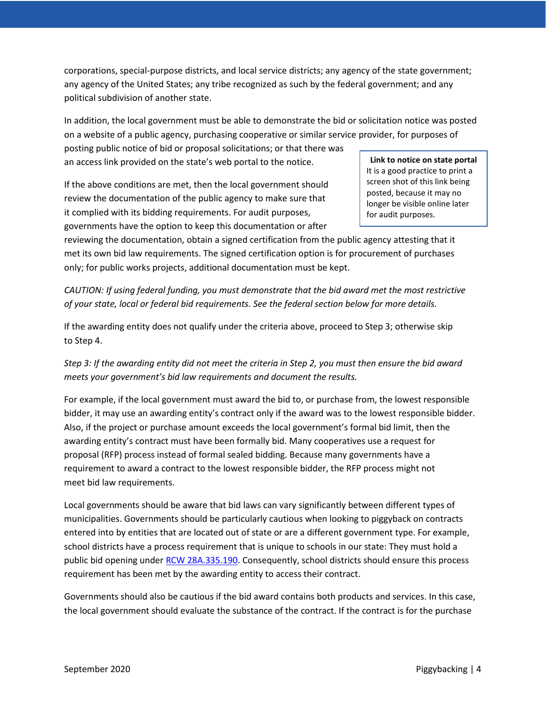corporations, special-purpose districts, and local service districts; any agency of the state government; any agency of the United States; any tribe recognized as such by the federal government; and any political subdivision of another state.

In addition, the local government must be able to demonstrate the bid or solicitation notice was posted on a website of a public agency, purchasing cooperative or similar service provider, for purposes of

posting public notice of bid or proposal solicitations; or that there was an access link provided on the state's web portal to the notice.

If the above conditions are met, then the local government should review the documentation of the public agency to make sure that it complied with its bidding requirements. For audit purposes, governments have the option to keep this documentation or after

**Link to notice on state portal** It is a good practice to print a screen shot of this link being posted, because it may no longer be visible online later for audit purposes.

reviewing the documentation, obtain a signed certification from the public agency attesting that it met its own bid law requirements. The signed certification option is for procurement of purchases only; for public works projects, additional documentation must be kept.

*CAUTION: If using federal funding, you must demonstrate that the bid award met the most restrictive of your state, local or federal bid requirements. See the federal section below for more details.*

If the awarding entity does not qualify under the criteria above, proceed to Step 3; otherwise skip to Step 4.

*Step 3: If the awarding entity did not meet the criteria in Step 2, you must then ensure the bid award meets your government's bid law requirements and document the results.*

For example, if the local government must award the bid to, or purchase from, the lowest responsible bidder, it may use an awarding entity's contract only if the award was to the lowest responsible bidder. Also, if the project or purchase amount exceeds the local government's formal bid limit, then the awarding entity's contract must have been formally bid. Many cooperatives use a request for proposal (RFP) process instead of formal sealed bidding. Because many governments have a requirement to award a contract to the lowest responsible bidder, the RFP process might not meet bid law requirements.

Local governments should be aware that bid laws can vary significantly between different types of municipalities. Governments should be particularly cautious when looking to piggyback on contracts entered into by entities that are located out of state or are a different government type. For example, school districts have a process requirement that is unique to schools in our state: They must hold a public bid opening under [RCW 28A.335.190.](https://app.leg.wa.gov/rcw/default.aspx?cite=28A.335.190) Consequently, school districts should ensure this process requirement has been met by the awarding entity to access their contract.

Governments should also be cautious if the bid award contains both products and services. In this case, the local government should evaluate the substance of the contract. If the contract is for the purchase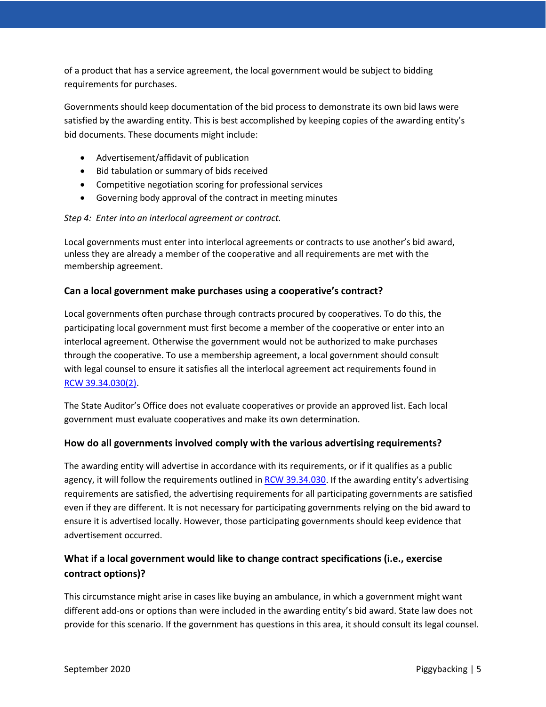of a product that has a service agreement, the local government would be subject to bidding requirements for purchases.

Governments should keep documentation of the bid process to demonstrate its own bid laws were satisfied by the awarding entity. This is best accomplished by keeping copies of the awarding entity's bid documents. These documents might include:

- Advertisement/affidavit of publication
- Bid tabulation or summary of bids received
- Competitive negotiation scoring for professional services
- Governing body approval of the contract in meeting minutes

# *Step 4: Enter into an interlocal agreement or contract.*

Local governments must enter into interlocal agreements or contracts to use another's bid award, unless they are already a member of the cooperative and all requirements are met with the membership agreement.

# **Can a local government make purchases using a cooperative's contract?**

Local governments often purchase through contracts procured by cooperatives. To do this, the participating local government must first become a member of the cooperative or enter into an interlocal agreement. Otherwise the government would not be authorized to make purchases through the cooperative. To use a membership agreement, a local government should consult with legal counsel to ensure it satisfies all the interlocal agreement act requirements found in RCW [39.34.030\(2\).](https://apps.leg.wa.gov/rcw/default.aspx?cite=39.34.030)

The State Auditor's Office does not evaluate cooperatives or provide an approved list. Each local government must evaluate cooperatives and make its own determination.

# **How do all governments involved comply with the various advertising requirements?**

The awarding entity will advertise in accordance with its requirements, or if it qualifies as a public agency, it will follow the requirements outlined in [RCW 39.34.030.](https://apps.leg.wa.gov/rcw/default.aspx?cite=39.34.030) If the awarding entity's advertising requirements are satisfied, the advertising requirements for all participating governments are satisfied even if they are different. It is not necessary for participating governments relying on the bid award to ensure it is advertised locally. However, those participating governments should keep evidence that advertisement occurred.

# **What if a local government would like to change contract specifications (i.e., exercise contract options)?**

This circumstance might arise in cases like buying an ambulance, in which a government might want different add-ons or options than were included in the awarding entity's bid award. State law does not provide for this scenario. If the government has questions in this area, it should consult its legal counsel.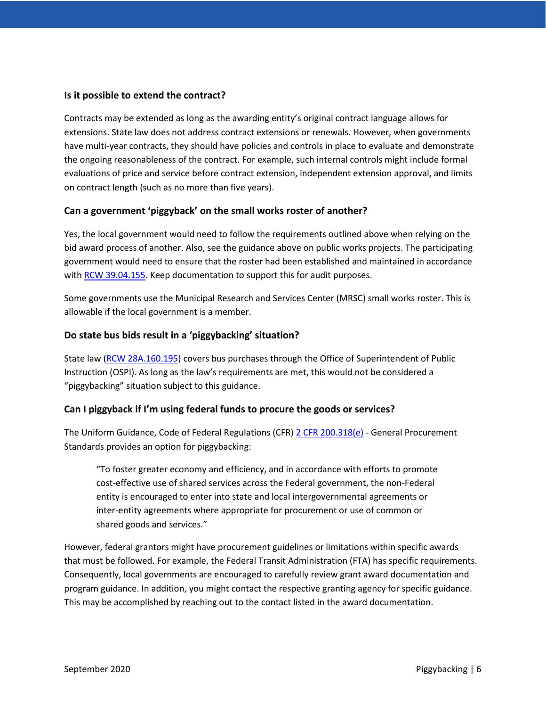# **Is it possible to extend the contract?**

Contracts may be extended as long as the awarding entity's original contract language allows for extensions. State law does not address contract extensions or renewals. However, when governments have multi-year contracts, they should have policies and controls in place to evaluate and demonstrate the ongoing reasonableness of the contract. For example, such internal controls might include formal evaluations of price and service before contract extension, independent extension approval, and limits on contract length (such as no more than five years).

## **Can a government 'piggyback' on the small works roster of another?**

Yes, the local government would need to follow the requirements outlined above when relying on the bid award process of another. Also, see the guidance above on public works projects. The participating government would need to ensure that the roster had been established and maintained in accordance with [RCW 39.04.155.](https://app.leg.wa.gov/rcw/default.aspx?cite=39.04.155) Keep documentation to support this for audit purposes.

Some governments use the Municipal Research and Services Center (MRSC) small works roster. This is allowable if the local government is a member.

## **Do state bus bids result in a 'piggybacking' situation?**

State law [\(RCW 28A.160.195\)](https://app.leg.wa.gov/RCW/default.aspx?cite=28A.160.195) covers bus purchases through the Office of Superintendent of Public Instruction (OSPI). As long as the law's requirements are met, this would not be considered a "piggybacking" situation subject to this guidance.

# **Can I piggyback if I'm using federal funds to procure the goods or services?**

The Uniform Guidance, Code of Federal Regulations (CFR) [2 CFR 200.318\(e\)](https://www.ecfr.gov/cgi-bin/text-idx?node=2:1.1.2.2.1.4.31&rgn=div7) - General Procurement Standards provides an option for piggybacking:

"To foster greater economy and efficiency, and in accordance with efforts to promote cost-effective use of shared services across the Federal government, the non-Federal entity is encouraged to enter into state and local intergovernmental agreements or inter-entity agreements where appropriate for procurement or use of common or shared goods and services."

However, federal grantors might have procurement guidelines or limitations within specific awards that must be followed. For example, the Federal Transit Administration (FTA) has specific requirements. Consequently, local governments are encouraged to carefully review grant award documentation and program guidance. In addition, you might contact the respective granting agency for specific guidance. This may be accomplished by reaching out to the contact listed in the award documentation.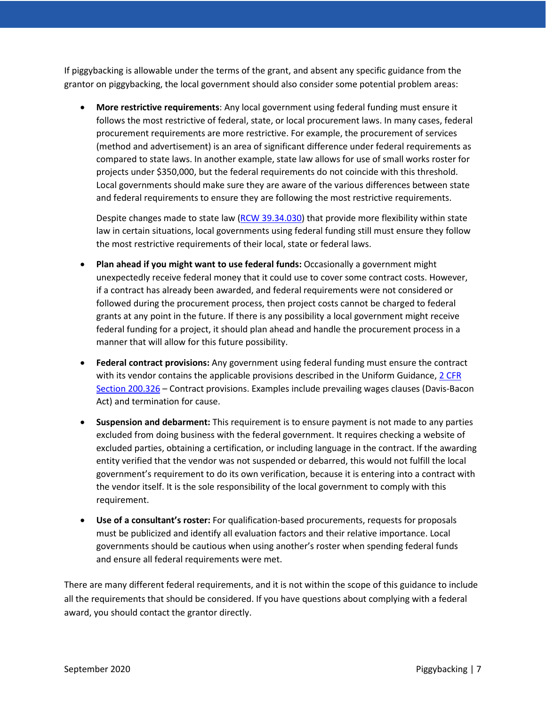If piggybacking is allowable under the terms of the grant, and absent any specific guidance from the grantor on piggybacking, the local government should also consider some potential problem areas:

• **More restrictive requirements**: Any local government using federal funding must ensure it follows the most restrictive of federal, state, or local procurement laws. In many cases, federal procurement requirements are more restrictive. For example, the procurement of services (method and advertisement) is an area of significant difference under federal requirements as compared to state laws. In another example, state law allows for use of small works roster for projects under \$350,000, but the federal requirements do not coincide with this threshold. Local governments should make sure they are aware of the various differences between state and federal requirements to ensure they are following the most restrictive requirements.

Despite changes made to state law [\(RCW 39.34.030\)](https://apps.leg.wa.gov/rcw/default.aspx?cite=39.34.030) that provide more flexibility within state law in certain situations, local governments using federal funding still must ensure they follow the most restrictive requirements of their local, state or federal laws.

- **Plan ahead if you might want to use federal funds:** Occasionally a government might unexpectedly receive federal money that it could use to cover some contract costs. However, if a contract has already been awarded, and federal requirements were not considered or followed during the procurement process, then project costs cannot be charged to federal grants at any point in the future. If there is any possibility a local government might receive federal funding for a project, it should plan ahead and handle the procurement process in a manner that will allow for this future possibility.
- **Federal contract provisions:** Any government using federal funding must ensure the contract with its vendor contains the applicable provisions described in the Uniform Guidance, 2 CFR [Section 200.326](https://www.ecfr.gov/cgi-bin/text-idx?node=2:1.1.2.2.1.4.31&rgn=div7) – Contract provisions. Examples include prevailing wages clauses (Davis-Bacon Act) and termination for cause.
- **Suspension and debarment:** This requirement is to ensure payment is not made to any parties excluded from doing business with the federal government. It requires checking a website of excluded parties, obtaining a certification, or including language in the contract. If the awarding entity verified that the vendor was not suspended or debarred, this would not fulfill the local government's requirement to do its own verification, because it is entering into a contract with the vendor itself. It is the sole responsibility of the local government to comply with this requirement.
- **Use of a consultant's roster:** For qualification-based procurements, requests for proposals must be publicized and identify all evaluation factors and their relative importance. Local governments should be cautious when using another's roster when spending federal funds and ensure all federal requirements were met.

There are many different federal requirements, and it is not within the scope of this guidance to include all the requirements that should be considered. If you have questions about complying with a federal award, you should contact the grantor directly.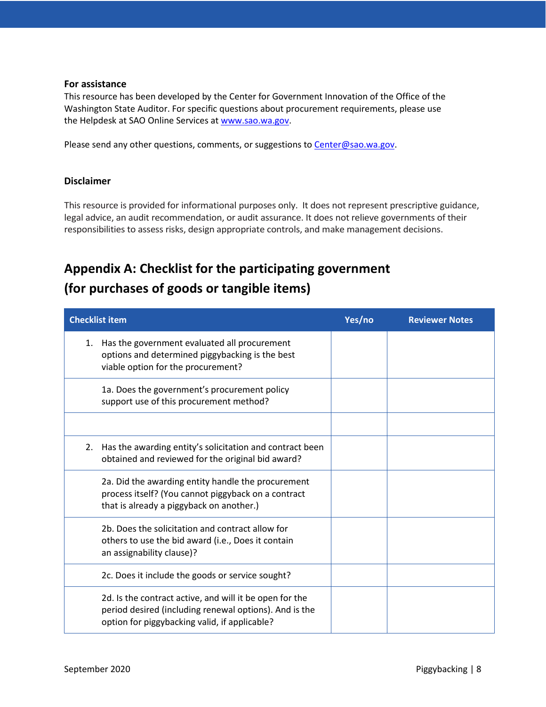## **For assistance**

This resource has been developed by the Center for Government Innovation of the Office of the Washington State Auditor. For specific questions about procurement requirements, please use the Helpdesk at SAO Online Services at [www.sao.wa.gov.](http://www.sao.wa.gov/)

Please send any other questions, comments, or suggestions t[o Center@sao.wa.gov.](mailto:Center@sao.wa.gov)

# **Disclaimer**

This resource is provided for informational purposes only. It does not represent prescriptive guidance, legal advice, an audit recommendation, or audit assurance. It does not relieve governments of their responsibilities to assess risks, design appropriate controls, and make management decisions.

# **Appendix A: Checklist for the participating government (for purchases of goods or tangible items)**

| <b>Checklist item</b>                                                                                                                                              | Yes/no | <b>Reviewer Notes</b> |
|--------------------------------------------------------------------------------------------------------------------------------------------------------------------|--------|-----------------------|
| Has the government evaluated all procurement<br>1.<br>options and determined piggybacking is the best<br>viable option for the procurement?                        |        |                       |
| 1a. Does the government's procurement policy<br>support use of this procurement method?                                                                            |        |                       |
|                                                                                                                                                                    |        |                       |
| Has the awarding entity's solicitation and contract been<br>2.<br>obtained and reviewed for the original bid award?                                                |        |                       |
| 2a. Did the awarding entity handle the procurement<br>process itself? (You cannot piggyback on a contract<br>that is already a piggyback on another.)              |        |                       |
| 2b. Does the solicitation and contract allow for<br>others to use the bid award (i.e., Does it contain<br>an assignability clause)?                                |        |                       |
| 2c. Does it include the goods or service sought?                                                                                                                   |        |                       |
| 2d. Is the contract active, and will it be open for the<br>period desired (including renewal options). And is the<br>option for piggybacking valid, if applicable? |        |                       |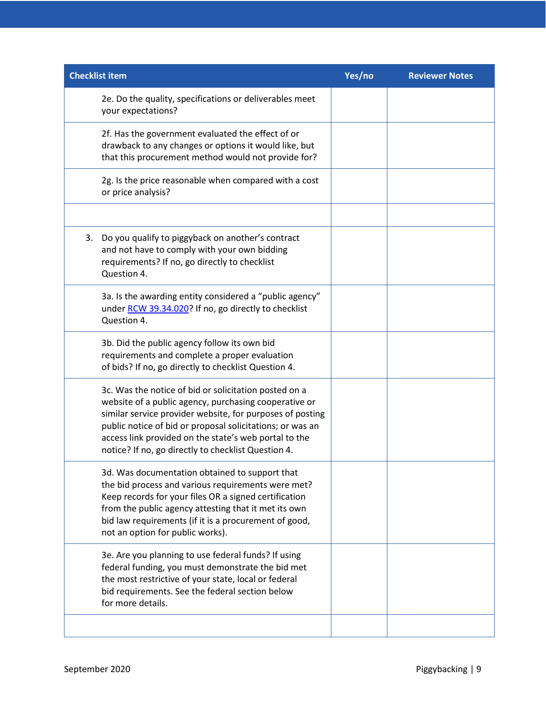| <b>Checklist item</b>                                                                                                                                                                                                                                                                                                                                    | Yes/no | <b>Reviewer Notes</b> |
|----------------------------------------------------------------------------------------------------------------------------------------------------------------------------------------------------------------------------------------------------------------------------------------------------------------------------------------------------------|--------|-----------------------|
| 2e. Do the quality, specifications or deliverables meet<br>your expectations?                                                                                                                                                                                                                                                                            |        |                       |
| 2f. Has the government evaluated the effect of or<br>drawback to any changes or options it would like, but<br>that this procurement method would not provide for?                                                                                                                                                                                        |        |                       |
| 2g. Is the price reasonable when compared with a cost<br>or price analysis?                                                                                                                                                                                                                                                                              |        |                       |
|                                                                                                                                                                                                                                                                                                                                                          |        |                       |
| Do you qualify to piggyback on another's contract<br>3.<br>and not have to comply with your own bidding<br>requirements? If no, go directly to checklist<br>Question 4.                                                                                                                                                                                  |        |                       |
| 3a. Is the awarding entity considered a "public agency"<br>under RCW 39.34.020? If no, go directly to checklist<br>Question 4.                                                                                                                                                                                                                           |        |                       |
| 3b. Did the public agency follow its own bid<br>requirements and complete a proper evaluation<br>of bids? If no, go directly to checklist Question 4.                                                                                                                                                                                                    |        |                       |
| 3c. Was the notice of bid or solicitation posted on a<br>website of a public agency, purchasing cooperative or<br>similar service provider website, for purposes of posting<br>public notice of bid or proposal solicitations; or was an<br>access link provided on the state's web portal to the<br>notice? If no, go directly to checklist Question 4. |        |                       |
| 3d. Was documentation obtained to support that<br>the bid process and various requirements were met?<br>Keep records for your files OR a signed certification<br>from the public agency attesting that it met its own<br>bid law requirements (if it is a procurement of good,<br>not an option for public works).                                       |        |                       |
| 3e. Are you planning to use federal funds? If using<br>federal funding, you must demonstrate the bid met<br>the most restrictive of your state, local or federal<br>bid requirements. See the federal section below<br>for more details.                                                                                                                 |        |                       |
|                                                                                                                                                                                                                                                                                                                                                          |        |                       |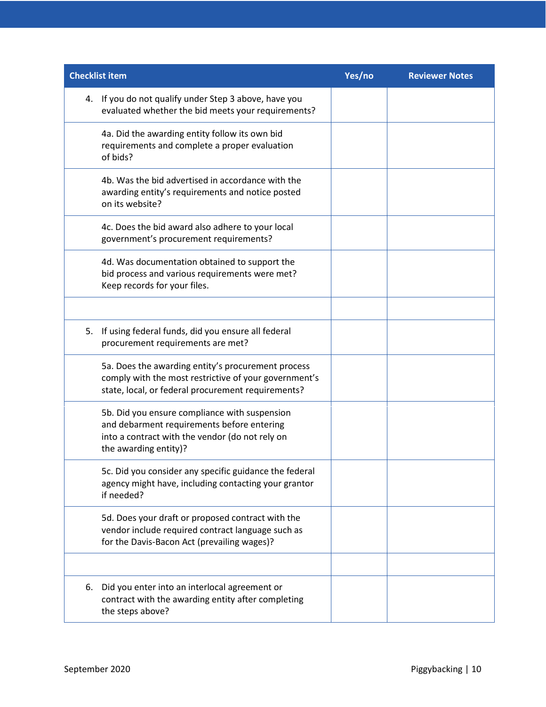| <b>Checklist item</b>                                                                                                                                                   | Yes/no | <b>Reviewer Notes</b> |
|-------------------------------------------------------------------------------------------------------------------------------------------------------------------------|--------|-----------------------|
| 4. If you do not qualify under Step 3 above, have you<br>evaluated whether the bid meets your requirements?                                                             |        |                       |
| 4a. Did the awarding entity follow its own bid<br>requirements and complete a proper evaluation<br>of bids?                                                             |        |                       |
| 4b. Was the bid advertised in accordance with the<br>awarding entity's requirements and notice posted<br>on its website?                                                |        |                       |
| 4c. Does the bid award also adhere to your local<br>government's procurement requirements?                                                                              |        |                       |
| 4d. Was documentation obtained to support the<br>bid process and various requirements were met?<br>Keep records for your files.                                         |        |                       |
|                                                                                                                                                                         |        |                       |
| If using federal funds, did you ensure all federal<br>5.<br>procurement requirements are met?                                                                           |        |                       |
| 5a. Does the awarding entity's procurement process<br>comply with the most restrictive of your government's<br>state, local, or federal procurement requirements?       |        |                       |
| 5b. Did you ensure compliance with suspension<br>and debarment requirements before entering<br>into a contract with the vendor (do not rely on<br>the awarding entity)? |        |                       |
| 5c. Did you consider any specific guidance the federal<br>agency might have, including contacting your grantor<br>if needed?                                            |        |                       |
| 5d. Does your draft or proposed contract with the<br>vendor include required contract language such as<br>for the Davis-Bacon Act (prevailing wages)?                   |        |                       |
|                                                                                                                                                                         |        |                       |
| Did you enter into an interlocal agreement or<br>6.<br>contract with the awarding entity after completing<br>the steps above?                                           |        |                       |